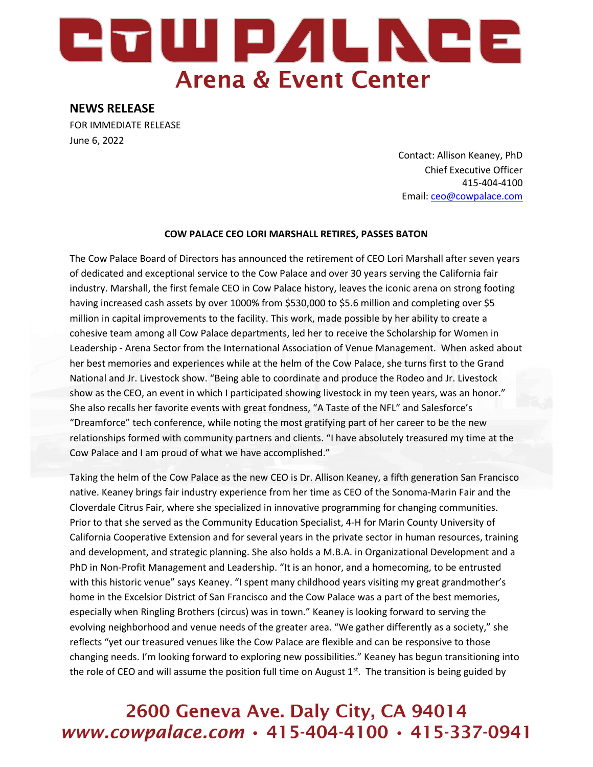## 27W PALNCE **Arena & Event Center**

### NEWS RELEASE

FOR IMMEDIATE RELEASE June 6, 2022

> Contact: Allison Keaney, PhD Chief Executive Officer 415-404-4100 Email: ceo@cowpalace.com

#### COW PALACE CEO LORI MARSHALL RETIRES, PASSES BATON

The Cow Palace Board of Directors has announced the retirement of CEO Lori Marshall after seven years of dedicated and exceptional service to the Cow Palace and over 30 years serving the California fair industry. Marshall, the first female CEO in Cow Palace history, leaves the iconic arena on strong footing having increased cash assets by over 1000% from \$530,000 to \$5.6 million and completing over \$5 million in capital improvements to the facility. This work, made possible by her ability to create a cohesive team among all Cow Palace departments, led her to receive the Scholarship for Women in Leadership - Arena Sector from the International Association of Venue Management. When asked about her best memories and experiences while at the helm of the Cow Palace, she turns first to the Grand National and Jr. Livestock show. "Being able to coordinate and produce the Rodeo and Jr. Livestock show as the CEO, an event in which I participated showing livestock in my teen years, was an honor." She also recalls her favorite events with great fondness, "A Taste of the NFL" and Salesforce's "Dreamforce" tech conference, while noting the most gratifying part of her career to be the new relationships formed with community partners and clients. "I have absolutely treasured my time at the Cow Palace and I am proud of what we have accomplished."

Taking the helm of the Cow Palace as the new CEO is Dr. Allison Keaney, a fifth generation San Francisco native. Keaney brings fair industry experience from her time as CEO of the Sonoma-Marin Fair and the Cloverdale Citrus Fair, where she specialized in innovative programming for changing communities. Prior to that she served as the Community Education Specialist, 4-H for Marin County University of California Cooperative Extension and for several years in the private sector in human resources, training and development, and strategic planning. She also holds a M.B.A. in Organizational Development and a PhD in Non-Profit Management and Leadership. "It is an honor, and a homecoming, to be entrusted with this historic venue" says Keaney. "I spent many childhood years visiting my great grandmother's home in the Excelsior District of San Francisco and the Cow Palace was a part of the best memories, especially when Ringling Brothers (circus) was in town." Keaney is looking forward to serving the evolving neighborhood and venue needs of the greater area. "We gather differently as a society," she reflects "yet our treasured venues like the Cow Palace are flexible and can be responsive to those changing needs. I'm looking forward to exploring new possibilities." Keaney has begun transitioning into the role of CEO and will assume the position full time on August  $1<sup>st</sup>$ . The transition is being guided by

### 2600 Geneva Ave. Daly City, CA 94014 www.cowpalace.com · 415-404-4100 · 415-337-0941